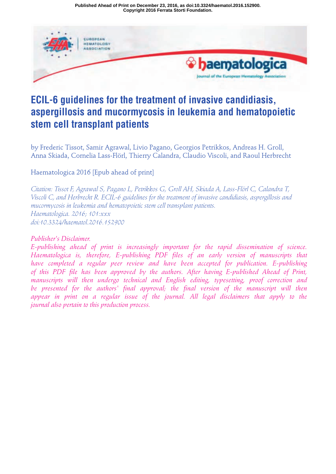**Copyright 2016 Ferrata Storti Foundation. Published Ahead of Print on December 23, 2016, as doi:10.3324/haematol.2016.152900.**



# **ECIL-6 guidelines for the treatment of invasive candidiasis, aspergillosis and mucormycosis in leukemia and hematopoietic stem cell transplant patients**

by Frederic Tissot, Samir Agrawal, Livio Pagano, Georgios Petrikkos, Andreas H. Groll, Anna Skiada, Cornelia Lass-Flörl, Thierry Calandra, Claudio Viscoli, and Raoul Herbrecht

Haematologica 2016 [Epub ahead of print]

*Citation: Tissot F, Agrawal S, Pagano L, Petrikkos G, Groll AH, Skiada A, Lass-Flörl C, Calandra T, Viscoli C, and Herbrecht R. ECIL-6 guidelines for the treatment of invasive candidiasis, aspergillosis and mucormycosis in leukemia and hematopoietic stem cell transplant patients. Haematologica. 2016; 101:xxx doi:10.3324/haematol.2016.152900*

# *Publisher's Disclaimer.*

*E-publishing ahead of print is increasingly important for the rapid dissemination of science. Haematologica is, therefore, E-publishing PDF files of an early version of manuscripts that have completed a regular peer review and have been accepted for publication. E-publishing of this PDF file has been approved by the authors. After having E-published Ahead of Print, manuscripts will then undergo technical and English editing, typesetting, proof correction and be presented for the authors' final approval; the final version of the manuscript will then appear in print on a regular issue of the journal. All legal disclaimers that apply to the journal also pertain to this production process.*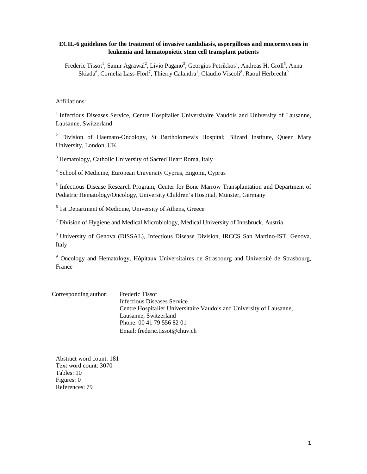### **ECIL-6 guidelines for the treatment of invasive candidiasis, aspergillosis and mucormycosis in leukemia and hematopoietic stem cell transplant patients**

Frederic Tissot<sup>1</sup>, Samir Agrawal<sup>2</sup>, Livio Pagano<sup>3</sup>, Georgios Petrikkos<sup>4</sup>, Andreas H. Groll<sup>5</sup>, Anna Skiada<sup>6</sup>, Cornelia Lass-Flörl<sup>7</sup>, Thierry Calandra<sup>1</sup>, Claudio Viscoli<sup>8</sup>, Raoul Herbrecht<sup>9</sup>

#### Affiliations:

<sup>1</sup> Infectious Diseases Service, Centre Hospitalier Universitaire Vaudois and University of Lausanne, Lausanne, Switzerland

<sup>2</sup> Division of Haemato-Oncology, St Bartholomew's Hospital; Blizard Institute, Queen Mary University, London, UK

<sup>3</sup> Hematology, Catholic University of Sacred Heart Roma, Italy

4 School of Medicine, European University Cyprus, Engomi, Cyprus

<sup>5</sup> Infectious Disease Research Program, Center for Bone Marrow Transplantation and Department of Pediatric Hematology/Oncology, University Children's Hospital, Münster, Germany

6 1st Department of Medicine, University of Athens, Greece

 $7$  Division of Hygiene and Medical Microbiology, Medical University of Innsbruck, Austria

8 University of Genova (DISSAL), Infectious Disease Division, IRCCS San Martino-IST, Genova, Italy

<sup>9</sup> Oncology and Hematology, Hôpitaux Universitaires de Strasbourg and Université de Strasbourg, France

| Corresponding author: | <b>Frederic Tissot</b>                                               |
|-----------------------|----------------------------------------------------------------------|
|                       | Infectious Diseases Service                                          |
|                       | Centre Hospitalier Universitaire Vaudois and University of Lausanne, |
|                       | Lausanne, Switzerland                                                |
|                       | Phone: 00 41 79 556 82 01                                            |
|                       | Email: frederic.tissot@chuv.ch                                       |

Abstract word count: 181 Text word count: 3070 Tables: 10 Figures: 0 References: 79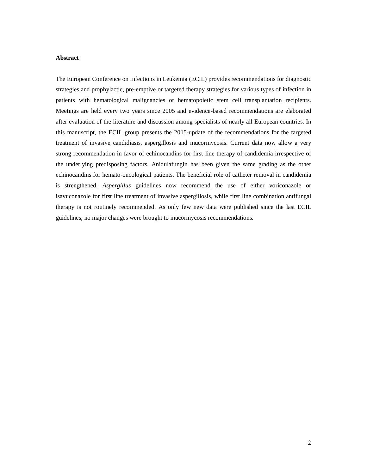#### **Abstract**

The European Conference on Infections in Leukemia (ECIL) provides recommendations for diagnostic strategies and prophylactic, pre-emptive or targeted therapy strategies for various types of infection in patients with hematological malignancies or hematopoietic stem cell transplantation recipients. Meetings are held every two years since 2005 and evidence-based recommendations are elaborated after evaluation of the literature and discussion among specialists of nearly all European countries. In this manuscript, the ECIL group presents the 2015-update of the recommendations for the targeted treatment of invasive candidiasis, aspergillosis and mucormycosis. Current data now allow a very strong recommendation in favor of echinocandins for first line therapy of candidemia irrespective of the underlying predisposing factors. Anidulafungin has been given the same grading as the other echinocandins for hemato-oncological patients. The beneficial role of catheter removal in candidemia is strengthened. *Aspergillus* guidelines now recommend the use of either voriconazole or isavuconazole for first line treatment of invasive aspergillosis, while first line combination antifungal therapy is not routinely recommended. As only few new data were published since the last ECIL guidelines, no major changes were brought to mucormycosis recommendations.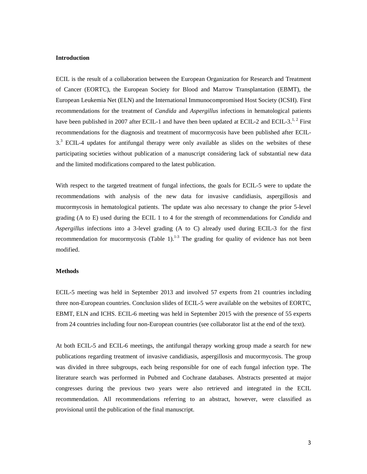#### **Introduction**

ECIL is the result of a collaboration between the European Organization for Research and Treatment of Cancer (EORTC), the European Society for Blood and Marrow Transplantation (EBMT), the European Leukemia Net (ELN) and the International Immunocompromised Host Society (ICSH). First recommendations for the treatment of *Candida* and *Aspergillus* infections in hematological patients have been published in 2007 after ECIL-1 and have then been updated at ECIL-2 and ECIL-3.<sup>1, 2</sup> First recommendations for the diagnosis and treatment of mucormycosis have been published after ECIL-3.<sup>3</sup> ECIL-4 updates for antifungal therapy were only available as slides on the websites of these participating societies without publication of a manuscript considering lack of substantial new data and the limited modifications compared to the latest publication.

With respect to the targeted treatment of fungal infections, the goals for ECIL-5 were to update the recommendations with analysis of the new data for invasive candidiasis, aspergillosis and mucormycosis in hematological patients. The update was also necessary to change the prior 5-level grading (A to E) used during the ECIL 1 to 4 for the strength of recommendations for *Candida* and *Aspergillus* infections into a 3-level grading (A to C) already used during ECIL-3 for the first recommendation for mucormycosis (Table 1).<sup>1-3</sup> The grading for quality of evidence has not been modified.

#### **Methods**

ECIL-5 meeting was held in September 2013 and involved 57 experts from 21 countries including three non-European countries. Conclusion slides of ECIL-5 were available on the websites of EORTC, EBMT, ELN and ICHS. ECIL-6 meeting was held in September 2015 with the presence of 55 experts from 24 countries including four non-European countries (see collaborator list at the end of the text).

At both ECIL-5 and ECIL-6 meetings, the antifungal therapy working group made a search for new publications regarding treatment of invasive candidiasis, aspergillosis and mucormycosis. The group was divided in three subgroups, each being responsible for one of each fungal infection type. The literature search was performed in Pubmed and Cochrane databases. Abstracts presented at major congresses during the previous two years were also retrieved and integrated in the ECIL recommendation. All recommendations referring to an abstract, however, were classified as provisional until the publication of the final manuscript.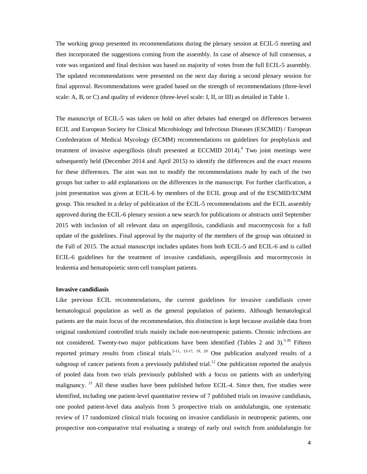The working group presented its recommendations during the plenary session at ECIL-5 meeting and then incorporated the suggestions coming from the assembly. In case of absence of full consensus, a vote was organized and final decision was based on majority of votes from the full ECIL-5 assembly. The updated recommendations were presented on the next day during a second plenary session for final approval. Recommendations were graded based on the strength of recommendations (three-level scale: A, B, or C) and quality of evidence (three-level scale: I, II, or III) as detailed in Table 1.

The manuscript of ECIL-5 was taken on hold on after debates had emerged on differences between ECIL and European Society for Clinical Microbiology and Infectious Diseases (ESCMID) / European Confederation of Medical Mycology (ECMM) recommendations on guidelines for prophylaxis and treatment of invasive aspergillosis (draft presented at ECCMID 2014).<sup>4</sup> Two joint meetings were subsequently held (December 2014 and April 2015) to identify the differences and the exact reasons for these differences. The aim was not to modify the recommendations made by each of the two groups but rather to add explanations on the differences in the manuscript. For further clarification, a joint presentation was given at ECIL-6 by members of the ECIL group and of the ESCMID/ECMM group. This resulted in a delay of publication of the ECIL-5 recommendations and the ECIL assembly approved during the ECIL-6 plenary session a new search for publications or abstracts until September 2015 with inclusion of all relevant data on aspergillosis, candidiasis and mucormycosis for a full update of the guidelines. Final approval by the majority of the members of the group was obtained in the Fall of 2015. The actual manuscript includes updates from both ECIL-5 and ECIL-6 and is called ECIL-6 guidelines for the treatment of invasive candidiasis, aspergillosis and mucormycosis in leukemia and hematopoietic stem cell transplant patients.

#### **Invasive candidiasis**

Like previous ECIL recommendations, the current guidelines for invasive candidiasis cover hematological population as well as the general population of patients. Although hematological patients are the main focus of the recommendation, this distinction is kept because available data from original randomized controlled trials mainly include non-neutropenic patients. Chronic infections are not considered. Twenty-two major publications have been identified (Tables 2 and 3).<sup>5-26</sup> Fifteen reported primary results from clinical trials.<sup>5-11, 13-17, 19, 20</sup> One publication analyzed results of a subgroup of cancer patients from a previously published trial.<sup>12</sup> One publication reported the analysis of pooled data from two trials previously published with a focus on patients with an underlying malignancy. <sup>21</sup> All these studies have been published before ECIL-4. Since then, five studies were identified, including one patient-level quantitative review of 7 published trials on invasive candidiasis, one pooled patient-level data analysis from 5 prospective trials on anidulafungin, one systematic review of 17 randomized clinical trials focusing on invasive candidiasis in neutropenic patients, one prospective non-comparative trial evaluating a strategy of early oral switch from anidulafungin for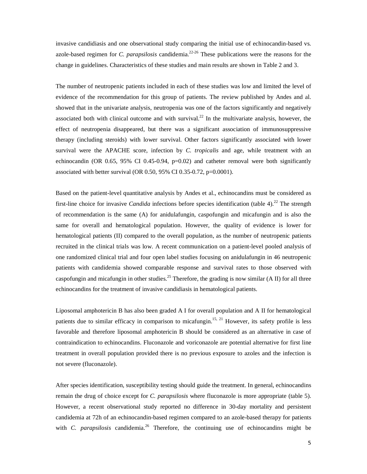invasive candidiasis and one observational study comparing the initial use of echinocandin-based vs. azole-based regimen for *C. parapsilosis* candidemia.<sup>22-26</sup> These publications were the reasons for the change in guidelines. Characteristics of these studies and main results are shown in Table 2 and 3.

The number of neutropenic patients included in each of these studies was low and limited the level of evidence of the recommendation for this group of patients. The review published by Andes and al. showed that in the univariate analysis, neutropenia was one of the factors significantly and negatively associated both with clinical outcome and with survival.<sup>22</sup> In the multivariate analysis, however, the effect of neutropenia disappeared, but there was a significant association of immunosuppressive therapy (including steroids) with lower survival. Other factors significantly associated with lower survival were the APACHE score, infection by *C. tropicalis* and age, while treatment with an echinocandin (OR  $0.65$ , 95% CI  $0.45$ -0.94, p=0.02) and catheter removal were both significantly associated with better survival (OR  $0.50$ ,  $95\%$  CI  $0.35$ -0.72, p=0.0001).

Based on the patient-level quantitative analysis by Andes et al., echinocandins must be considered as first-line choice for invasive *Candida* infections before species identification (table 4).<sup>22</sup> The strength of recommendation is the same (A) for anidulafungin, caspofungin and micafungin and is also the same for overall and hematological population. However, the quality of evidence is lower for hematological patients (II) compared to the overall population, as the number of neutropenic patients recruited in the clinical trials was low. A recent communication on a patient-level pooled analysis of one randomized clinical trial and four open label studies focusing on anidulafungin in 46 neutropenic patients with candidemia showed comparable response and survival rates to those observed with caspofungin and micafungin in other studies.<sup>25</sup> Therefore, the grading is now similar (A II) for all three echinocandins for the treatment of invasive candidiasis in hematological patients.

Liposomal amphotericin B has also been graded A I for overall population and A II for hematological patients due to similar efficacy in comparison to micafungin.<sup>15, 21</sup> However, its safety profile is less favorable and therefore liposomal amphotericin B should be considered as an alternative in case of contraindication to echinocandins. Fluconazole and voriconazole are potential alternative for first line treatment in overall population provided there is no previous exposure to azoles and the infection is not severe (fluconazole).

After species identification, susceptibility testing should guide the treatment. In general, echinocandins remain the drug of choice except for *C. parapsilosis* where fluconazole is more appropriate (table 5). However, a recent observational study reported no difference in 30-day mortality and persistent candidemia at 72h of an echinocandin-based regimen compared to an azole-based therapy for patients with *C. parapsilosis* candidemia.<sup>26</sup> Therefore, the continuing use of echinocandins might be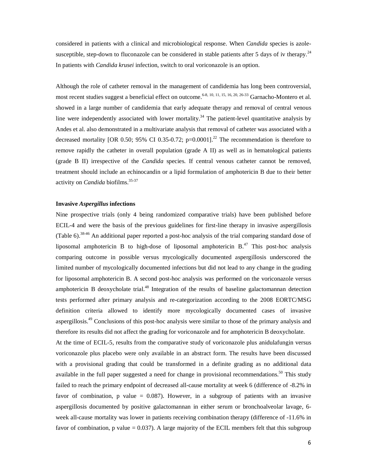considered in patients with a clinical and microbiological response. When *Candida* species is azolesusceptible, step-down to fluconazole can be considered in stable patients after 5 days of iv therapy.<sup>24</sup> In patients with *Candida krusei* infection, switch to oral voriconazole is an option.

Although the role of catheter removal in the management of candidemia has long been controversial, most recent studies suggest a beneficial effect on outcome.<sup>6-8, 10, 11, 15, 16, 20, 26-33</sup> Garnacho-Montero et al. showed in a large number of candidemia that early adequate therapy and removal of central venous line were independently associated with lower mortality.<sup>34</sup> The patient-level quantitative analysis by Andes et al. also demonstrated in a multivariate analysis that removal of catheter was associated with a decreased mortality [OR 0.50; 95% CI 0.35-0.72;  $p=0.0001$ ].<sup>22</sup> The recommendation is therefore to remove rapidly the catheter in overall population (grade A II) as well as in hematological patients (grade B II) irrespective of the *Candida* species. If central venous catheter cannot be removed, treatment should include an echinocandin or a lipid formulation of amphotericin B due to their better activity on *Candida* biofilms.<sup>35-37</sup>

#### **Invasive** *Aspergillus* **infections**

Nine prospective trials (only 4 being randomized comparative trials) have been published before ECIL-4 and were the basis of the previous guidelines for first-line therapy in invasive aspergillosis (Table 6).38-46 An additional paper reported a post-hoc analysis of the trial comparing standard dose of liposomal amphotericin B to high-dose of liposomal amphotericin  $B<sup>47</sup>$ . This post-hoc analysis comparing outcome in possible versus mycologically documented aspergillosis underscored the limited number of mycologically documented infections but did not lead to any change in the grading for liposomal amphotericin B. A second post-hoc analysis was performed on the voriconazole versus amphotericin B deoxycholate trial.<sup>48</sup> Integration of the results of baseline galactomannan detection tests performed after primary analysis and re-categorization according to the 2008 EORTC/MSG definition criteria allowed to identify more mycologically documented cases of invasive aspergillosis.<sup>49</sup> Conclusions of this post-hoc analysis were similar to those of the primary analysis and therefore its results did not affect the grading for voriconazole and for amphotericin B deoxycholate.

At the time of ECIL-5, results from the comparative study of voriconazole plus anidulafungin versus voriconazole plus placebo were only available in an abstract form. The results have been discussed with a provisional grading that could be transformed in a definite grading as no additional data available in the full paper suggested a need for change in provisional recommendations.<sup>50</sup> This study failed to reach the primary endpoint of decreased all-cause mortality at week 6 (difference of -8.2% in favor of combination, p value  $= 0.087$ ). However, in a subgroup of patients with an invasive aspergillosis documented by positive galactomannan in either serum or bronchoalveolar lavage, 6 week all-cause mortality was lower in patients receiving combination therapy (difference of -11.6% in favor of combination, p value  $= 0.037$ ). A large majority of the ECIL members felt that this subgroup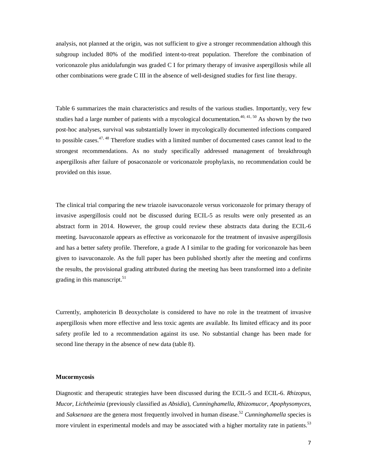analysis, not planned at the origin, was not sufficient to give a stronger recommendation although this subgroup included 80% of the modified intent-to-treat population. Therefore the combination of voriconazole plus anidulafungin was graded C I for primary therapy of invasive aspergillosis while all other combinations were grade C III in the absence of well-designed studies for first line therapy.

Table 6 summarizes the main characteristics and results of the various studies. Importantly, very few studies had a large number of patients with a mycological documentation. $40, 41, 50$  As shown by the two post-hoc analyses, survival was substantially lower in mycologically documented infections compared to possible cases.  $47,48$  Therefore studies with a limited number of documented cases cannot lead to the strongest recommendations. As no study specifically addressed management of breakthrough aspergillosis after failure of posaconazole or voriconazole prophylaxis, no recommendation could be provided on this issue.

The clinical trial comparing the new triazole isavuconazole versus voriconazole for primary therapy of invasive aspergillosis could not be discussed during ECIL-5 as results were only presented as an abstract form in 2014. However, the group could review these abstracts data during the ECIL-6 meeting. Isavuconazole appears as effective as voriconazole for the treatment of invasive aspergillosis and has a better safety profile. Therefore, a grade A I similar to the grading for voriconazole has been given to isavuconazole. As the full paper has been published shortly after the meeting and confirms the results, the provisional grading attributed during the meeting has been transformed into a definite grading in this manuscript. $51$ 

Currently, amphotericin B deoxycholate is considered to have no role in the treatment of invasive aspergillosis when more effective and less toxic agents are available. Its limited efficacy and its poor safety profile led to a recommendation against its use. No substantial change has been made for second line therapy in the absence of new data (table 8).

#### **Mucormycosis**

Diagnostic and therapeutic strategies have been discussed during the ECIL-5 and ECIL-6. *Rhizopus*, *Mucor*, *Lichtheimia* (previously classified as *Absidia*), *Cunninghamella*, *Rhizomucor*, *Apophysomyces*, and *Saksenaea* are the genera most frequently involved in human disease.<sup>52</sup> *Cunninghamella* species is more virulent in experimental models and may be associated with a higher mortality rate in patients.<sup>53</sup>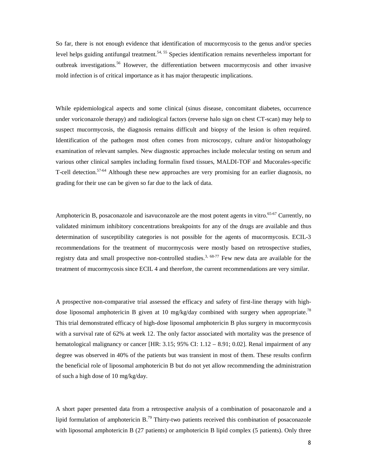So far, there is not enough evidence that identification of mucormycosis to the genus and/or species level helps guiding antifungal treatment.<sup>54, 55</sup> Species identification remains nevertheless important for outbreak investigations.<sup>56</sup> However, the differentiation between mucormycosis and other invasive mold infection is of critical importance as it has major therapeutic implications.

While epidemiological aspects and some clinical (sinus disease, concomitant diabetes, occurrence under voriconazole therapy) and radiological factors (reverse halo sign on chest CT-scan) may help to suspect mucormycosis, the diagnosis remains difficult and biopsy of the lesion is often required. Identification of the pathogen most often comes from microscopy, culture and/or histopathology examination of relevant samples. New diagnostic approaches include molecular testing on serum and various other clinical samples including formalin fixed tissues, MALDI-TOF and Mucorales-specific T-cell detection.<sup>57-64</sup> Although these new approaches are very promising for an earlier diagnosis, no grading for their use can be given so far due to the lack of data.

Amphotericin B, posaconazole and isavuconazole are the most potent agents in vitro.<sup>65-67</sup> Currently, no validated minimum inhibitory concentrations breakpoints for any of the drugs are available and thus determination of susceptibility categories is not possible for the agents of mucormycosis. ECIL-3 recommendations for the treatment of mucormycosis were mostly based on retrospective studies, registry data and small prospective non-controlled studies.<sup>3, 68-77</sup> Few new data are available for the treatment of mucormycosis since ECIL 4 and therefore, the current recommendations are very similar.

A prospective non-comparative trial assessed the efficacy and safety of first-line therapy with highdose liposomal amphotericin B given at 10 mg/kg/day combined with surgery when appropriate.<sup>78</sup> This trial demonstrated efficacy of high-dose liposomal amphotericin B plus surgery in mucormycosis with a survival rate of 62% at week 12. The only factor associated with mortality was the presence of hematological malignancy or cancer [HR: 3.15; 95% CI: 1.12 – 8.91; 0.02]. Renal impairment of any degree was observed in 40% of the patients but was transient in most of them. These results confirm the beneficial role of liposomal amphotericin B but do not yet allow recommending the administration of such a high dose of 10 mg/kg/day.

A short paper presented data from a retrospective analysis of a combination of posaconazole and a lipid formulation of amphotericin  $B<sup>79</sup>$ . Thirty-two patients received this combination of posaconazole with liposomal amphotericin B (27 patients) or amphotericin B lipid complex (5 patients). Only three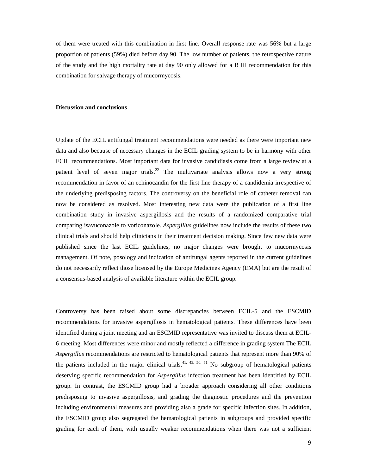of them were treated with this combination in first line. Overall response rate was 56% but a large proportion of patients (59%) died before day 90. The low number of patients, the retrospective nature of the study and the high mortality rate at day 90 only allowed for a B III recommendation for this combination for salvage therapy of mucormycosis.

#### **Discussion and conclusions**

Update of the ECIL antifungal treatment recommendations were needed as there were important new data and also because of necessary changes in the ECIL grading system to be in harmony with other ECIL recommendations. Most important data for invasive candidiasis come from a large review at a patient level of seven major trials.<sup>22</sup> The multivariate analysis allows now a very strong recommendation in favor of an echinocandin for the first line therapy of a candidemia irrespective of the underlying predisposing factors. The controversy on the beneficial role of catheter removal can now be considered as resolved. Most interesting new data were the publication of a first line combination study in invasive aspergillosis and the results of a randomized comparative trial comparing isavuconazole to voriconazole. *Aspergillus* guidelines now include the results of these two clinical trials and should help clinicians in their treatment decision making. Since few new data were published since the last ECIL guidelines, no major changes were brought to mucormycosis management. Of note, posology and indication of antifungal agents reported in the current guidelines do not necessarily reflect those licensed by the Europe Medicines Agency (EMA) but are the result of a consensus-based analysis of available literature within the ECIL group.

Controversy has been raised about some discrepancies between ECIL-5 and the ESCMID recommendations for invasive aspergillosis in hematological patients. These differences have been identified during a joint meeting and an ESCMID representative was invited to discuss them at ECIL-6 meeting. Most differences were minor and mostly reflected a difference in grading system The ECIL *Aspergillus* recommendations are restricted to hematological patients that represent more than 90% of the patients included in the major clinical trials.<sup>41, 43, 50, 51</sup> No subgroup of hematological patients deserving specific recommendation for *Aspergillus* infection treatment has been identified by ECIL group. In contrast, the ESCMID group had a broader approach considering all other conditions predisposing to invasive aspergillosis, and grading the diagnostic procedures and the prevention including environmental measures and providing also a grade for specific infection sites. In addition, the ESCMID group also segregated the hematological patients in subgroups and provided specific grading for each of them, with usually weaker recommendations when there was not a sufficient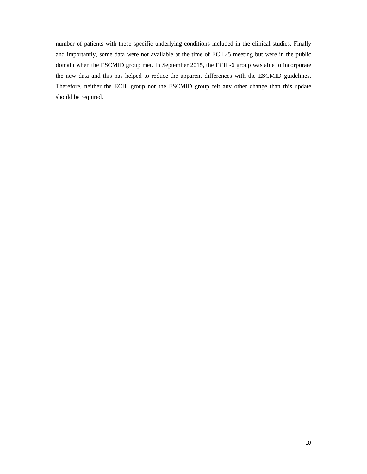number of patients with these specific underlying conditions included in the clinical studies. Finally and importantly, some data were not available at the time of ECIL-5 meeting but were in the public domain when the ESCMID group met. In September 2015, the ECIL-6 group was able to incorporate the new data and this has helped to reduce the apparent differences with the ESCMID guidelines. Therefore, neither the ECIL group nor the ESCMID group felt any other change than this update should be required.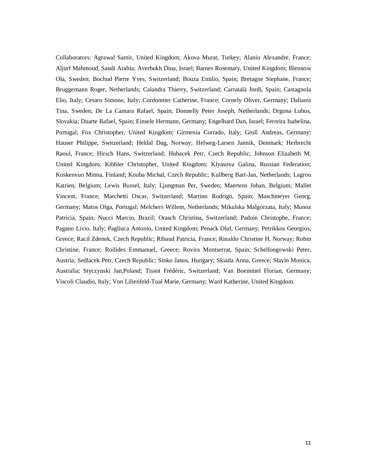Collaborators: Agrawal Samir, United Kingdom; Akova Murat, Turkey; Alanio Alexandre, France; Aljurf Mahmoud, Saudi Arabia; Averbukh Dina, Israel; Barnes Rosemary, United Kingdom; Blennow Ola, Sweden; Bochud Pierre Yves, Switzerland; Bouza Emilio, Spain; Bretagne Stephane, France; Bruggemann Roger, Netherlands; Calandra Thierry, Switzerland; Carratalà Jordi, Spain; Castagnola Elio, Italy; Cesaro Simone, Italy; Cordonnier Catherine, France; Cornely Oliver, Germany; Dalianis Tina, Sweden; De La Camara Rafael, Spain; Donnelly Peter Joseph, Netherlands; Drgona Lubos, Slovakia; Duarte Rafael, Spain; Einsele Hermann, Germany; Engelhard Dan, Israel; Ferreira Isabelina, Portugal; Fox Christopher, United Kingdom; Girmenia Corrado, Italy; Groll Andreas, Germany; Hauser Philippe, Switzerland; Heldal Dag, Norway; Helweg-Larsen Jannik, Denmark; Herbrecht Raoul, France; Hirsch Hans, Switzerland; Hubacek Petr, Czech Republic; Johnson Elizabeth M, United Kingdom; Kibbler Christopher, United Kingdom; Klyasova Galina, Russian Federation; Koskenvuo Minna, Finland; Kouba Michal, Czech Republic; Kullberg Bart-Jan, Netherlands; Lagrou Katrien, Belgium; Lewis Russel, Italy; Ljungman Per, Sweden; Maertens Johan, Belgium; Mallet Vincent, France; Marchetti Oscar, Switzerland; Martino Rodrigo, Spain; Maschmeyer Georg, Germany; Matos Olga, Portugal; Melchers Willem, Netherlands; Mikulska Malgorzata, Italy; Munoz Patricia, Spain; Nucci Marcio, Brazil; Orasch Christina, Switzerland; Padoin Christophe, France; Pagano Livio, Italy; Pagliuca Antonio, United Kingdom; Penack Olaf, Germany; Petrikkos Georgios, Greece; Racil Zdenek, Czech Republic; Ribaud Patricia, France; Rinaldo Christine H, Norway; Robin Christine, France; Roilides Emmanuel, Greece; Rovira Montserrat, Spain; Schellongowski Peter, Austria; Sedlacek Petr, Czech Republic; Sinko Janos, Hungary; Skiada Anna, Greece; Slavin Monica, Australia; Styczynski Jan,Poland; Tissot Frédéric, Switzerland; Van Boemmel Florian, Germany; Viscoli Claudio, Italy; Von Lilienfeld-Toal Marie, Germany; Ward Katherine, United Kingdom.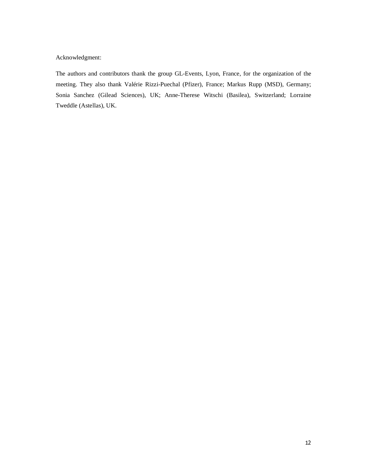#### Acknowledgment:

The authors and contributors thank the group GL-Events, Lyon, France, for the organization of the meeting. They also thank Valérie Rizzi-Puechal (Pfizer), France; Markus Rupp (MSD), Germany; Sonia Sanchez (Gilead Sciences), UK; Anne-Therese Witschi (Basilea), Switzerland; Lorraine Tweddle (Astellas), UK.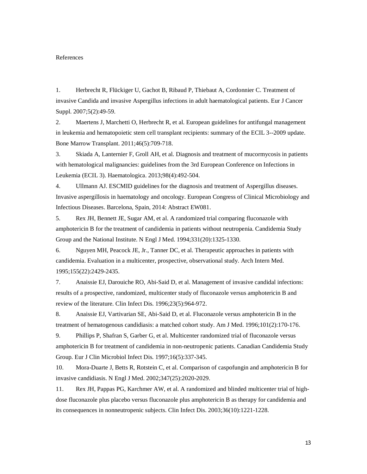#### References

1. Herbrecht R, Flückiger U, Gachot B, Ribaud P, Thiebaut A, Cordonnier C. Treatment of invasive Candida and invasive Aspergillus infections in adult haematological patients. Eur J Cancer Suppl. 2007;5(2):49-59.

2. Maertens J, Marchetti O, Herbrecht R, et al. European guidelines for antifungal management in leukemia and hematopoietic stem cell transplant recipients: summary of the ECIL 3--2009 update. Bone Marrow Transplant. 2011;46(5):709-718.

3. Skiada A, Lanternier F, Groll AH, et al. Diagnosis and treatment of mucormycosis in patients with hematological malignancies: guidelines from the 3rd European Conference on Infections in Leukemia (ECIL 3). Haematologica. 2013;98(4):492-504.

4. Ullmann AJ. ESCMID guidelines for the diagnosis and treatment of Aspergillus diseases. Invasive aspergillosis in haematology and oncology. European Congress of Clinical Microbiology and Infectious Diseases. Barcelona, Spain, 2014: Abstract EW081.

5. Rex JH, Bennett JE, Sugar AM, et al. A randomized trial comparing fluconazole with amphotericin B for the treatment of candidemia in patients without neutropenia. Candidemia Study Group and the National Institute. N Engl J Med. 1994;331(20):1325-1330.

6. Nguyen MH, Peacock JE, Jr., Tanner DC, et al. Therapeutic approaches in patients with candidemia. Evaluation in a multicenter, prospective, observational study. Arch Intern Med. 1995;155(22):2429-2435.

7. Anaissie EJ, Darouiche RO, Abi-Said D, et al. Management of invasive candidal infections: results of a prospective, randomized, multicenter study of fluconazole versus amphotericin B and review of the literature. Clin Infect Dis. 1996;23(5):964-972.

8. Anaissie EJ, Vartivarian SE, Abi-Said D, et al. Fluconazole versus amphotericin B in the treatment of hematogenous candidiasis: a matched cohort study. Am J Med. 1996;101(2):170-176.

9. Phillips P, Shafran S, Garber G, et al. Multicenter randomized trial of fluconazole versus amphotericin B for treatment of candidemia in non-neutropenic patients. Canadian Candidemia Study Group. Eur J Clin Microbiol Infect Dis. 1997;16(5):337-345.

10. Mora-Duarte J, Betts R, Rotstein C, et al. Comparison of caspofungin and amphotericin B for invasive candidiasis. N Engl J Med. 2002;347(25):2020-2029.

11. Rex JH, Pappas PG, Karchmer AW, et al. A randomized and blinded multicenter trial of highdose fluconazole plus placebo versus fluconazole plus amphotericin B as therapy for candidemia and its consequences in nonneutropenic subjects. Clin Infect Dis. 2003;36(10):1221-1228.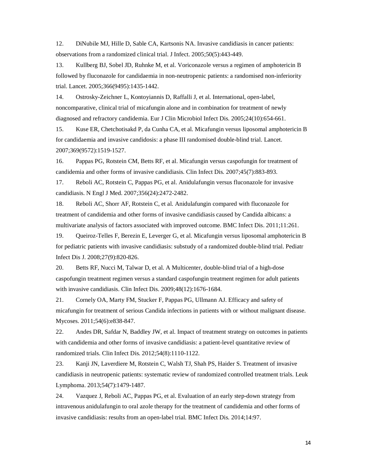12. DiNubile MJ, Hille D, Sable CA, Kartsonis NA. Invasive candidiasis in cancer patients: observations from a randomized clinical trial. J Infect. 2005;50(5):443-449.

13. Kullberg BJ, Sobel JD, Ruhnke M, et al. Voriconazole versus a regimen of amphotericin B followed by fluconazole for candidaemia in non-neutropenic patients: a randomised non-inferiority trial. Lancet. 2005;366(9495):1435-1442.

14. Ostrosky-Zeichner L, Kontoyiannis D, Raffalli J, et al. International, open-label, noncomparative, clinical trial of micafungin alone and in combination for treatment of newly diagnosed and refractory candidemia. Eur J Clin Microbiol Infect Dis. 2005;24(10):654-661.

15. Kuse ER, Chetchotisakd P, da Cunha CA, et al. Micafungin versus liposomal amphotericin B for candidaemia and invasive candidosis: a phase III randomised double-blind trial. Lancet. 2007;369(9572):1519-1527.

16. Pappas PG, Rotstein CM, Betts RF, et al. Micafungin versus caspofungin for treatment of candidemia and other forms of invasive candidiasis. Clin Infect Dis. 2007;45(7):883-893.

17. Reboli AC, Rotstein C, Pappas PG, et al. Anidulafungin versus fluconazole for invasive candidiasis. N Engl J Med. 2007;356(24):2472-2482.

18. Reboli AC, Shorr AF, Rotstein C, et al. Anidulafungin compared with fluconazole for treatment of candidemia and other forms of invasive candidiasis caused by Candida albicans: a multivariate analysis of factors associated with improved outcome. BMC Infect Dis. 2011;11:261.

19. Queiroz-Telles F, Berezin E, Leverger G, et al. Micafungin versus liposomal amphotericin B for pediatric patients with invasive candidiasis: substudy of a randomized double-blind trial. Pediatr Infect Dis J. 2008;27(9):820-826.

20. Betts RF, Nucci M, Talwar D, et al. A Multicenter, double-blind trial of a high-dose caspofungin treatment regimen versus a standard caspofungin treatment regimen for adult patients with invasive candidiasis. Clin Infect Dis. 2009;48(12):1676-1684.

21. Cornely OA, Marty FM, Stucker F, Pappas PG, Ullmann AJ. Efficacy and safety of micafungin for treatment of serious Candida infections in patients with or without malignant disease. Mycoses. 2011;54(6):e838-847.

22. Andes DR, Safdar N, Baddley JW, et al. Impact of treatment strategy on outcomes in patients with candidemia and other forms of invasive candidiasis: a patient-level quantitative review of randomized trials. Clin Infect Dis. 2012;54(8):1110-1122.

23. Kanji JN, Laverdiere M, Rotstein C, Walsh TJ, Shah PS, Haider S. Treatment of invasive candidiasis in neutropenic patients: systematic review of randomized controlled treatment trials. Leuk Lymphoma. 2013;54(7):1479-1487.

24. Vazquez J, Reboli AC, Pappas PG, et al. Evaluation of an early step-down strategy from intravenous anidulafungin to oral azole therapy for the treatment of candidemia and other forms of invasive candidiasis: results from an open-label trial. BMC Infect Dis. 2014;14:97.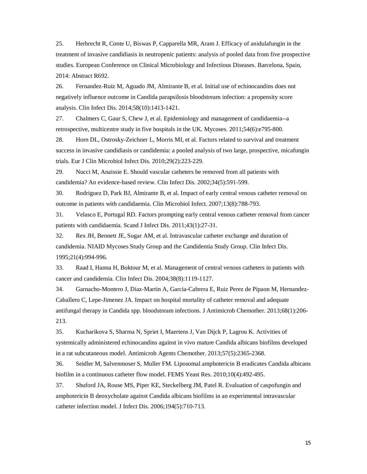25. Herbrecht R, Conte U, Biswas P, Capparella MR, Aram J. Efficacy of anidulafungin in the treatment of invasive candidiasis in neutropenic patients: analysis of pooled data from five prospective studies. European Conference on Clinical Microbiology and Infectious Diseases. Barcelona, Spain, 2014: Abstract R692.

26. Fernandez-Ruiz M, Aguado JM, Almirante B, et al. Initial use of echinocandins does not negatively influence outcome in Candida parapsilosis bloodstream infection: a propensity score analysis. Clin Infect Dis. 2014;58(10):1413-1421.

27. Chalmers C, Gaur S, Chew J, et al. Epidemiology and management of candidaemia--a retrospective, multicentre study in five hospitals in the UK. Mycoses. 2011;54(6):e795-800.

28. Horn DL, Ostrosky-Zeichner L, Morris MI, et al. Factors related to survival and treatment success in invasive candidiasis or candidemia: a pooled analysis of two large, prospective, micafungin trials. Eur J Clin Microbiol Infect Dis. 2010;29(2):223-229.

29. Nucci M, Anaissie E. Should vascular catheters be removed from all patients with candidemia? An evidence-based review. Clin Infect Dis. 2002;34(5):591-599.

30. Rodriguez D, Park BJ, Almirante B, et al. Impact of early central venous catheter removal on outcome in patients with candidaemia. Clin Microbiol Infect. 2007;13(8):788-793.

31. Velasco E, Portugal RD. Factors prompting early central venous catheter removal from cancer patients with candidaemia. Scand J Infect Dis. 2011;43(1):27-31.

32. Rex JH, Bennett JE, Sugar AM, et al. Intravascular catheter exchange and duration of candidemia. NIAID Mycoses Study Group and the Candidemia Study Group. Clin Infect Dis. 1995;21(4):994-996.

33. Raad I, Hanna H, Boktour M, et al. Management of central venous catheters in patients with cancer and candidemia. Clin Infect Dis. 2004;38(8):1119-1127.

34. Garnacho-Montero J, Diaz-Martin A, Garcia-Cabrera E, Ruiz Perez de Pipaon M, Hernandez-Caballero C, Lepe-Jimenez JA. Impact on hospital mortality of catheter removal and adequate antifungal therapy in Candida spp. bloodstream infections. J Antimicrob Chemother. 2013;68(1):206- 213.

35. Kucharikova S, Sharma N, Spriet I, Maertens J, Van Dijck P, Lagrou K. Activities of systemically administered echinocandins against in vivo mature Candida albicans biofilms developed in a rat subcutaneous model. Antimicrob Agents Chemother. 2013;57(5):2365-2368.

36. Seidler M, Salvenmoser S, Muller FM. Liposomal amphotericin B eradicates Candida albicans biofilm in a continuous catheter flow model. FEMS Yeast Res. 2010;10(4):492-495.

37. Shuford JA, Rouse MS, Piper KE, Steckelberg JM, Patel R. Evaluation of caspofungin and amphotericin B deoxycholate against Candida albicans biofilms in an experimental intravascular catheter infection model. J Infect Dis. 2006;194(5):710-713.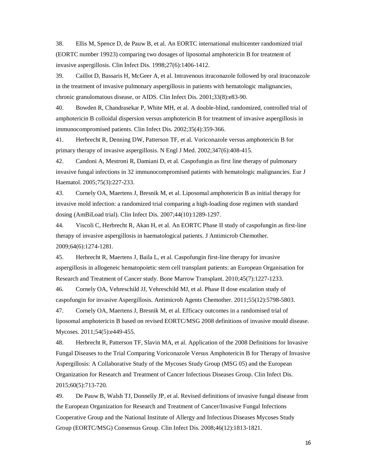38. Ellis M, Spence D, de Pauw B, et al. An EORTC international multicenter randomized trial (EORTC number 19923) comparing two dosages of liposomal amphotericin B for treatment of invasive aspergillosis. Clin Infect Dis. 1998;27(6):1406-1412.

39. Caillot D, Bassaris H, McGeer A, et al. Intravenous itraconazole followed by oral itraconazole in the treatment of invasive pulmonary aspergillosis in patients with hematologic malignancies, chronic granulomatous disease, or AIDS. Clin Infect Dis. 2001;33(8):e83-90.

40. Bowden R, Chandrasekar P, White MH, et al. A double-blind, randomized, controlled trial of amphotericin B colloidal dispersion versus amphotericin B for treatment of invasive aspergillosis in immunocompromised patients. Clin Infect Dis. 2002;35(4):359-366.

41. Herbrecht R, Denning DW, Patterson TF, et al. Voriconazole versus amphotericin B for primary therapy of invasive aspergillosis. N Engl J Med. 2002;347(6):408-415.

42. Candoni A, Mestroni R, Damiani D, et al. Caspofungin as first line therapy of pulmonary invasive fungal infections in 32 immunocompromised patients with hematologic malignancies. Eur J Haematol. 2005;75(3):227-233.

43. Cornely OA, Maertens J, Bresnik M, et al. Liposomal amphotericin B as initial therapy for invasive mold infection: a randomized trial comparing a high-loading dose regimen with standard dosing (AmBiLoad trial). Clin Infect Dis. 2007;44(10):1289-1297.

44. Viscoli C, Herbrecht R, Akan H, et al. An EORTC Phase II study of caspofungin as first-line therapy of invasive aspergillosis in haematological patients. J Antimicrob Chemother. 2009;64(6):1274-1281.

45. Herbrecht R, Maertens J, Baila L, et al. Caspofungin first-line therapy for invasive aspergillosis in allogeneic hematopoietic stem cell transplant patients: an European Organisation for Research and Treatment of Cancer study. Bone Marrow Transplant. 2010;45(7):1227-1233.

46. Cornely OA, Vehreschild JJ, Vehreschild MJ, et al. Phase II dose escalation study of caspofungin for invasive Aspergillosis. Antimicrob Agents Chemother. 2011;55(12):5798-5803.

47. Cornely OA, Maertens J, Bresnik M, et al. Efficacy outcomes in a randomised trial of liposomal amphotericin B based on revised EORTC/MSG 2008 definitions of invasive mould disease. Mycoses. 2011;54(5):e449-455.

48. Herbrecht R, Patterson TF, Slavin MA, et al. Application of the 2008 Definitions for Invasive Fungal Diseases to the Trial Comparing Voriconazole Versus Amphotericin B for Therapy of Invasive Aspergillosis: A Collaborative Study of the Mycoses Study Group (MSG 05) and the European Organization for Research and Treatment of Cancer Infectious Diseases Group. Clin Infect Dis. 2015;60(5):713-720.

49. De Pauw B, Walsh TJ, Donnelly JP, et al. Revised definitions of invasive fungal disease from the European Organization for Research and Treatment of Cancer/Invasive Fungal Infections Cooperative Group and the National Institute of Allergy and Infectious Diseases Mycoses Study Group (EORTC/MSG) Consensus Group. Clin Infect Dis. 2008;46(12):1813-1821.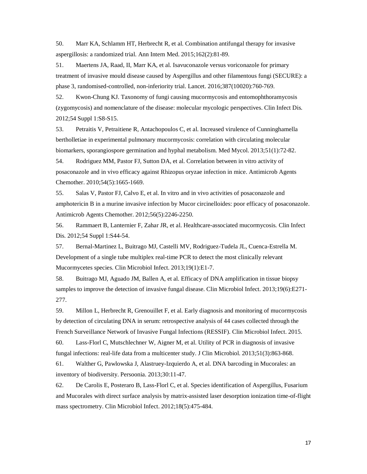50. Marr KA, Schlamm HT, Herbrecht R, et al. Combination antifungal therapy for invasive aspergillosis: a randomized trial. Ann Intern Med. 2015;162(2):81-89.

51. Maertens JA, Raad, II, Marr KA, et al. Isavuconazole versus voriconazole for primary treatment of invasive mould disease caused by Aspergillus and other filamentous fungi (SECURE): a phase 3, randomised-controlled, non-inferiority trial. Lancet. 2016;387(10020):760-769.

52. Kwon-Chung KJ. Taxonomy of fungi causing mucormycosis and entomophthoramycosis (zygomycosis) and nomenclature of the disease: molecular mycologic perspectives. Clin Infect Dis. 2012;54 Suppl 1:S8-S15.

53. Petraitis V, Petraitiene R, Antachopoulos C, et al. Increased virulence of Cunninghamella bertholletiae in experimental pulmonary mucormycosis: correlation with circulating molecular biomarkers, sporangiospore germination and hyphal metabolism. Med Mycol. 2013;51(1):72-82.

54. Rodriguez MM, Pastor FJ, Sutton DA, et al. Correlation between in vitro activity of posaconazole and in vivo efficacy against Rhizopus oryzae infection in mice. Antimicrob Agents Chemother. 2010;54(5):1665-1669.

55. Salas V, Pastor FJ, Calvo E, et al. In vitro and in vivo activities of posaconazole and amphotericin B in a murine invasive infection by Mucor circinelloides: poor efficacy of posaconazole. Antimicrob Agents Chemother. 2012;56(5):2246-2250.

56. Rammaert B, Lanternier F, Zahar JR, et al. Healthcare-associated mucormycosis. Clin Infect Dis. 2012;54 Suppl 1:S44-54.

57. Bernal-Martinez L, Buitrago MJ, Castelli MV, Rodriguez-Tudela JL, Cuenca-Estrella M. Development of a single tube multiplex real-time PCR to detect the most clinically relevant Mucormycetes species. Clin Microbiol Infect. 2013;19(1):E1-7.

58. Buitrago MJ, Aguado JM, Ballen A, et al. Efficacy of DNA amplification in tissue biopsy samples to improve the detection of invasive fungal disease. Clin Microbiol Infect. 2013;19(6):E271- 277.

59. Millon L, Herbrecht R, Grenouillet F, et al. Early diagnosis and monitoring of mucormycosis by detection of circulating DNA in serum: retrospective analysis of 44 cases collected through the French Surveillance Network of Invasive Fungal Infections (RESSIF). Clin Microbiol Infect. 2015.

60. Lass-Florl C, Mutschlechner W, Aigner M, et al. Utility of PCR in diagnosis of invasive fungal infections: real-life data from a multicenter study. J Clin Microbiol. 2013;51(3):863-868.

61. Walther G, Pawlowska J, Alastruey-Izquierdo A, et al. DNA barcoding in Mucorales: an inventory of biodiversity. Persoonia. 2013;30:11-47.

62. De Carolis E, Posteraro B, Lass-Florl C, et al. Species identification of Aspergillus, Fusarium and Mucorales with direct surface analysis by matrix-assisted laser desorption ionization time-of-flight mass spectrometry. Clin Microbiol Infect. 2012;18(5):475-484.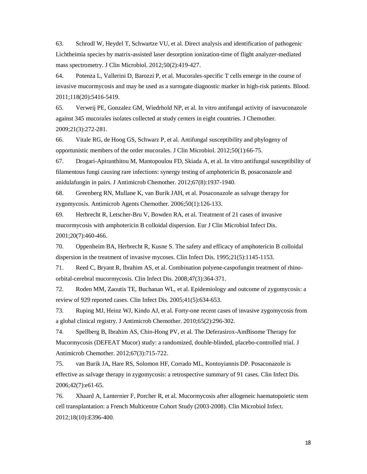63. Schrodl W, Heydel T, Schwartze VU, et al. Direct analysis and identification of pathogenic Lichtheimia species by matrix-assisted laser desorption ionization-time of flight analyzer-mediated mass spectrometry. J Clin Microbiol. 2012;50(2):419-427.

64. Potenza L, Vallerini D, Barozzi P, et al. Mucorales-specific T cells emerge in the course of invasive mucormycosis and may be used as a surrogate diagnostic marker in high-risk patients. Blood. 2011;118(20):5416-5419.

65. Verweij PE, Gonzalez GM, Wiedrhold NP, et al. In vitro antifungal activity of isavuconazole against 345 mucorales isolates collected at study centers in eight countries. J Chemother. 2009;21(3):272-281.

66. Vitale RG, de Hoog GS, Schwarz P, et al. Antifungal susceptibility and phylogeny of opportunistic members of the order mucorales. J Clin Microbiol. 2012;50(1):66-75.

67. Drogari-Apiranthitou M, Mantopoulou FD, Skiada A, et al. In vitro antifungal susceptibility of filamentous fungi causing rare infections: synergy testing of amphotericin B, posaconazole and anidulafungin in pairs. J Antimicrob Chemother. 2012;67(8):1937-1940.

68. Greenberg RN, Mullane K, van Burik JAH, et al. Posaconazole as salvage therapy for zygomycosis. Antimicrob Agents Chemother. 2006;50(1):126-133.

69. Herbrecht R, Letscher-Bru V, Bowden RA, et al. Treatment of 21 cases of invasive mucormycosis with amphotericin B colloidal dispersion. Eur J Clin Microbiol Infect Dis. 2001;20(7):460-466.

70. Oppenheim BA, Herbrecht R, Kusne S. The safety and efficacy of amphotericin B colloidal dispersion in the treatment of invasive mycoses. Clin Infect Dis. 1995;21(5):1145-1153.

71. Reed C, Bryant R, Ibrahim AS, et al. Combination polyene-caspofungin treatment of rhinoorbital-cerebral mucormycosis. Clin Infect Dis. 2008;47(3):364-371.

72. Roden MM, Zaoutis TE, Buchanan WL, et al. Epidemiology and outcome of zygomycosis: a review of 929 reported cases. Clin Infect Dis. 2005;41(5):634-653.

73. Ruping MJ, Heinz WJ, Kindo AJ, et al. Forty-one recent cases of invasive zygomycosis from a global clinical registry. J Antimicrob Chemother. 2010;65(2):296-302.

74. Spellberg B, Ibrahim AS, Chin-Hong PV, et al. The Deferasirox-AmBisome Therapy for Mucormycosis (DEFEAT Mucor) study: a randomized, double-blinded, placebo-controlled trial. J Antimicrob Chemother. 2012;67(3):715-722.

75. van Burik JA, Hare RS, Solomon HF, Corrado ML, Kontoyiannis DP. Posaconazole is effective as salvage therapy in zygomycosis: a retrospective summary of 91 cases. Clin Infect Dis. 2006;42(7):e61-65.

76. Xhaard A, Lanternier F, Porcher R, et al. Mucormycosis after allogeneic haematopoietic stem cell transplantation: a French Multicentre Cohort Study (2003-2008). Clin Microbiol Infect. 2012;18(10):E396-400.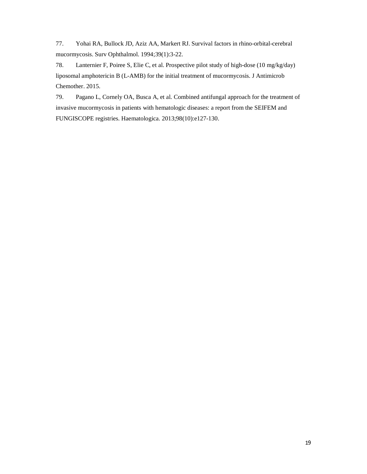77. Yohai RA, Bullock JD, Aziz AA, Markert RJ. Survival factors in rhino-orbital-cerebral mucormycosis. Surv Ophthalmol. 1994;39(1):3-22.

78. Lanternier F, Poiree S, Elie C, et al. Prospective pilot study of high-dose (10 mg/kg/day) liposomal amphotericin B (L-AMB) for the initial treatment of mucormycosis. J Antimicrob Chemother. 2015.

79. Pagano L, Cornely OA, Busca A, et al. Combined antifungal approach for the treatment of invasive mucormycosis in patients with hematologic diseases: a report from the SEIFEM and FUNGISCOPE registries. Haematologica. 2013;98(10):e127-130.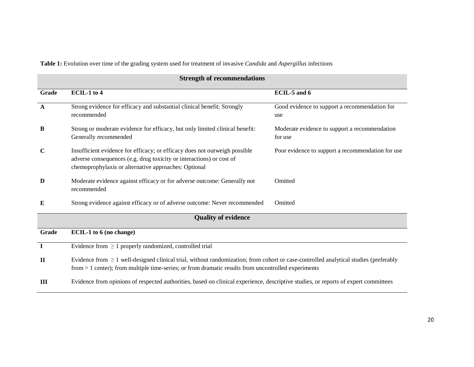| <b>Strength of recommendations</b> |                                                                                                                                                                                                                                                                 |                                                      |  |  |
|------------------------------------|-----------------------------------------------------------------------------------------------------------------------------------------------------------------------------------------------------------------------------------------------------------------|------------------------------------------------------|--|--|
| Grade                              | ECIL-1 to 4                                                                                                                                                                                                                                                     | ECIL-5 and $6$                                       |  |  |
| $\mathbf{A}$                       | Strong evidence for efficacy and substantial clinical benefit: Strongly<br>recommended                                                                                                                                                                          | Good evidence to support a recommendation for<br>use |  |  |
| B                                  | Strong or moderate evidence for efficacy, but only limited clinical benefit:<br>Moderate evidence to support a recommendation<br>Generally recommended<br>for use                                                                                               |                                                      |  |  |
| $\mathbf C$                        | Insufficient evidence for efficacy; or efficacy does not outweigh possible<br>Poor evidence to support a recommendation for use<br>adverse consequences (e.g. drug toxicity or interactions) or cost of<br>chemoprophylaxis or alternative approaches: Optional |                                                      |  |  |
| D                                  | Moderate evidence against efficacy or for adverse outcome: Generally not<br>recommended                                                                                                                                                                         | Omitted                                              |  |  |
| E                                  | Strong evidence against efficacy or of adverse outcome: Never recommended<br>Omitted                                                                                                                                                                            |                                                      |  |  |
|                                    | <b>Quality of evidence</b>                                                                                                                                                                                                                                      |                                                      |  |  |
| Grade                              | ECIL-1 to 6 (no change)                                                                                                                                                                                                                                         |                                                      |  |  |
| $\bf{I}$                           | Evidence from $\geq 1$ properly randomized, controlled trial                                                                                                                                                                                                    |                                                      |  |  |
| $\mathbf{I}$                       | Evidence from $\geq 1$ well-designed clinical trial, without randomization; from cohort or case-controlled analytical studies (preferably<br>$from$ > 1 center); from multiple time-series; or from dramatic results from uncontrolled experiments              |                                                      |  |  |
| $\mathbf{I}$                       | Evidence from opinions of respected authorities, based on clinical experience, descriptive studies, or reports of expert committees                                                                                                                             |                                                      |  |  |

**Table 1:** Evolution over time of the grading system used for treatment of invasive *Candida* and *Aspergillus* infections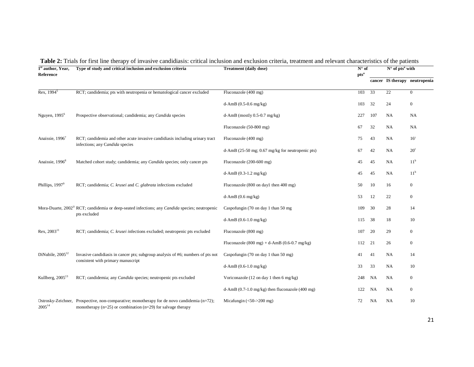| 1 <sup>st</sup> author, Year,<br>Reference | Type of study and critical inclusion and exclusion criteria                                                                                                     | <b>Treatment</b> (daily dose)                                       |                  | $N^{\circ}$ of pts <sup>a</sup> with<br>$N^{\circ}$ of |           |                               |
|--------------------------------------------|-----------------------------------------------------------------------------------------------------------------------------------------------------------------|---------------------------------------------------------------------|------------------|--------------------------------------------------------|-----------|-------------------------------|
|                                            |                                                                                                                                                                 |                                                                     | pts <sup>a</sup> |                                                        |           | cancer IS therapy neutropenia |
| Rex, 1994 <sup>5</sup>                     | RCT; candidemia; pts with neutropenia or hematological cancer excluded                                                                                          | Fluconazole (400 mg)                                                | 103              | 33                                                     | 22        | $\mathbf{0}$                  |
|                                            |                                                                                                                                                                 | d-AmB $(0.5-0.6$ mg/kg)                                             | 103              | 32                                                     | 24        | $\boldsymbol{0}$              |
| Nguyen, $1995^6$                           | Prospective observational; candidemia; any Candida species                                                                                                      | d-AmB (mostly $0.5-0.7$ mg/kg)                                      | 227              | 107                                                    | NA        | NA                            |
|                                            |                                                                                                                                                                 | Fluconazole (50-800 mg)                                             | 67               | 32                                                     | NA        | <b>NA</b>                     |
| Anaissie, 1996 <sup>7</sup>                | RCT; candidemia and other acute invasive candidiasis including urinary tract<br>infections; any Candida species                                                 | Fluconazole (400 mg)                                                | 75               | 43                                                     | <b>NA</b> | 16 <sup>c</sup>               |
|                                            |                                                                                                                                                                 | d-AmB $(25-50 \text{ mg})$ ; 0.67 mg/kg for neutropenic pts)        | 67               | 42                                                     | NA        | $20^{\circ}$                  |
| Anaissie, 1996 <sup>8</sup>                | Matched cohort study; candidemia; any <i>Candida</i> species; only cancer pts                                                                                   | Fluconazole $(200-600$ mg)                                          | 45               | 45                                                     | <b>NA</b> | 11 <sup>b</sup>               |
|                                            |                                                                                                                                                                 | d-AmB $(0.3-1.2 \text{ mg/kg})$                                     | 45               | 45                                                     | <b>NA</b> | 11 <sup>b</sup>               |
| Phillips, 1997 <sup>9</sup>                | RCT; candidemia; C. krusei and C. glabrata infections excluded                                                                                                  | Fluconazole (800 on day1 then 400 mg)                               | 50               | 10                                                     | 16        | $\boldsymbol{0}$              |
|                                            |                                                                                                                                                                 | $d$ -AmB $(0.6 \text{ mg/kg})$                                      | 53               | 12                                                     | 22        | $\boldsymbol{0}$              |
|                                            | Mora-Duarte, 2002 <sup>1</sup> RCT; candidemia or deep-seated infections; any <i>Candida</i> species; neutropenic                                               | Caspofungin (70 on day 1 than 50 mg                                 | 109              | 30                                                     | 28        | 14                            |
|                                            | pts excluded                                                                                                                                                    | d-AmB $(0.6-1.0$ mg/kg)                                             | 115              | 38                                                     | 18        | 10                            |
| Rex, 2003 <sup>11</sup>                    | RCT; candidemia; C. krusei infections excluded; neutropenic pts excluded                                                                                        | Fluconazole (800 mg)                                                | 107              | 20                                                     | 29        | $\boldsymbol{0}$              |
|                                            |                                                                                                                                                                 | Fluconazole (800 mg) + d-AmB (0.6-0.7 mg/kg)                        | 112              | 21                                                     | 26        | $\boldsymbol{0}$              |
| DiNubile, $2005^{12}$                      | Invasive candidiasis in cancer pts; subgroup analysis of #6; numbers of pts not                                                                                 | Caspofungin (70 on day 1 than 50 mg)                                | 41               | 41                                                     | NA        | 14                            |
|                                            | consistent with primary manuscript                                                                                                                              | d-AmB $(0.6-1.0$ mg/kg)                                             | 33               | 33                                                     | NA        | 10                            |
| Kullberg, $2005^{13}$                      | RCT; candidemia; any <i>Candida</i> species; neutropenic pts excluded                                                                                           | Voriconazole (12 on day 1 then 6 mg/kg)                             | 248              | NA                                                     | NA        | $\boldsymbol{0}$              |
|                                            |                                                                                                                                                                 | d-AmB $(0.7-1.0 \text{ mg/kg})$ then fluconazole $(400 \text{ mg})$ | 122              | <b>NA</b>                                              | <b>NA</b> | $\boldsymbol{0}$              |
| $2005^{14}$                                | Ostrosky-Zeichner, Prospective, non-comparative; monotherapy for de novo candidemia (n=72);<br>monotherapy $(n=25)$ or combination $(n=29)$ for salvage therapy | Micafungin $(<50->200$ mg)                                          | 72               | <b>NA</b>                                              | NA        | 10                            |

## Table 2: Trials for first line therapy of invasive candidiasis: critical inclusion and exclusion criteria, treatment and relevant characteristics of the patients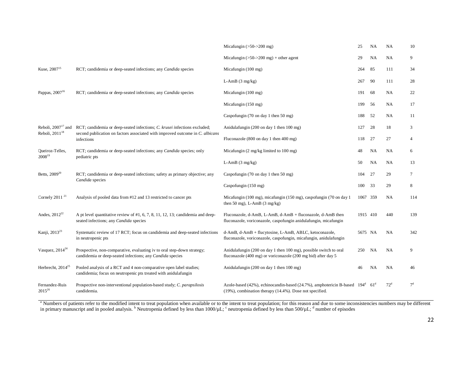|                                                       |                                                                                                                                                            | Micafungin $(>50->200$ mg)                                                                                                                      | 25       | <b>NA</b>       | NA              | 10              |
|-------------------------------------------------------|------------------------------------------------------------------------------------------------------------------------------------------------------------|-------------------------------------------------------------------------------------------------------------------------------------------------|----------|-----------------|-----------------|-----------------|
|                                                       |                                                                                                                                                            | Micafungin $(>50->200$ mg) + other agent                                                                                                        | 29       | <b>NA</b>       | <b>NA</b>       | 9               |
| Kuse, 2007 <sup>15</sup>                              | RCT; candidemia or deep-seated infections; any <i>Candida</i> species                                                                                      | Micafungin $(100 \text{ mg})$                                                                                                                   | 264      | 85              | 111             | 34              |
|                                                       |                                                                                                                                                            | $L$ -AmB $(3 \text{ mg/kg})$                                                                                                                    | 267      | 90              | 111             | 28              |
| Pappas, 2007 <sup>16</sup>                            | RCT; candidemia or deep-seated infections; any Candida species                                                                                             | Micafungin (100 mg)                                                                                                                             | 191      | 68              | NA              | 22              |
|                                                       |                                                                                                                                                            | Micafungin (150 mg)                                                                                                                             | 199      | 56              | <b>NA</b>       | 17              |
|                                                       |                                                                                                                                                            | Caspofungin (70 on day 1 then 50 mg)                                                                                                            | 188      | 52              | <b>NA</b>       | 11              |
| Reboli, $2007^{17}$ and<br>Reboli, 2011 <sup>18</sup> | RCT; candidemia or deep-seated infections; C. krusei infections excluded;<br>second publication on factors associated with improved outcome in C. albicans | Anidulafungin (200 on day 1 then 100 mg)                                                                                                        | 127      | 28              | 18              | 3               |
|                                                       | infections                                                                                                                                                 | Fluconazole (800 on day 1 then 400 mg)                                                                                                          | 118      | 27              | 27              | $\overline{4}$  |
| Queiroz-Telles,<br>$2008^{19}$                        | RCT; candidemia or deep-seated infections; any Candida species; only                                                                                       | Micafungin (2 mg/kg limited to 100 mg)                                                                                                          | 48       | NA              | <b>NA</b>       | 6               |
|                                                       | pediatric pts                                                                                                                                              | $L$ -AmB $(3 \text{ mg/kg})$                                                                                                                    | 50       | <b>NA</b>       | <b>NA</b>       | 13              |
| Betts, $2009^{20}$                                    | RCT; candidemia or deep-seated infections; safety as primary objective; any<br>Candida species                                                             | Caspofungin $(70 \text{ on day 1}$ then $50 \text{ mg})$                                                                                        | 104      | 27              | 29              | $7\phantom{.0}$ |
|                                                       |                                                                                                                                                            | Caspofungin (150 mg)                                                                                                                            | 100      | 33              | 29              | 8               |
| Cornely 2011 $^{21}$                                  | Analysis of pooled data from #12 and 13 restricted to cancer pts                                                                                           | Micafungin (100 mg), micafungin (150 mg), caspofungin (70 on day 1<br>then 50 mg), L-AmB $(3 \text{ mg/kg})$                                    | 1067 359 |                 | NA              | 114             |
| Andes, $2012^{22}$                                    | A pt level quantitative review of #1, 6, 7, 8, 11, 12, 13; candidemia and deep-<br>seated infections; any Candida species                                  | Fluconazole, d-AmB, L-AmB, d-AmB + fluconazole, d-AmB then<br>fluconazole, voriconazole, caspofungin anidulafungin, micafungin                  | 1915 410 |                 | 440             | 139             |
| Kanji, 2013 <sup>23</sup>                             | Systematic review of 17 RCT; focus on candidemia and deep-seated infections<br>in neutropenic pts                                                          | d-AmB, d-AmB + flucytosine, L-AmB, ABLC, ketoconazole,<br>fluconazole, voriconazole, caspofungin, micafungin, anidulafungin                     | 5675 NA  |                 | NA              | 342             |
| Vasquez, $2014^{24}$                                  | Prospective, non-comparative, evaluating iv to oral step-down strategy;<br>candidemia or deep-seated infections; any Candida species                       | Anidulafungin (200 on day 1 then 100 mg), possible switch to oral<br>fluconazole (400 mg) or voriconazole (200 mg bid) after day 5              | 250      | NA              | <b>NA</b>       | 9               |
| Herbrecht, $2014^{25}$                                | Pooled analysis of a RCT and 4 non-comparative open label studies;<br>candidemia; focus on neutropenic pts treated with anidulafungin                      | Anidulafungin (200 on day 1 then 100 mg)                                                                                                        | 46       | NA              | <b>NA</b>       | 46              |
| Fernandez-Ruis<br>$2015^{26}$                         | Prospective non-interventional population-based study; C. parapsilosis<br>candidemia.                                                                      | Azole-based (42%), echinocandin-based (24.7%), amphotericin B-based 194 <sup>d</sup><br>(19%), combination therapy (14.4%). Dose not specified. |          | 61 <sup>d</sup> | 72 <sup>d</sup> | 7 <sup>d</sup>  |

<sup>a</sup> Numbers of patients refer to the modified intent to treat population when available or to the intent to treat population; for this reason and due to some inconsistencies numbers may be different in primary manuscript and in pooled analysis. <sup>b</sup> Neutropenia defined by less than 1000/µL; <sup>c</sup> neutropenia defined by less than 500/µL; <sup>d</sup> number of episodes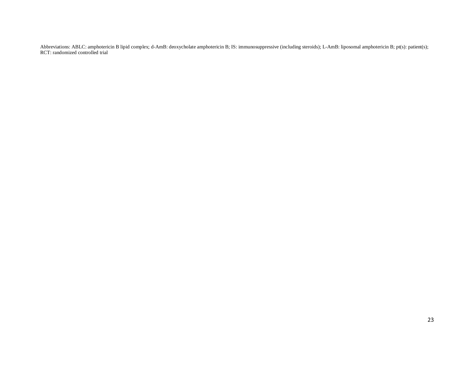Abbreviations: ABLC: amphotericin B lipid complex; d-AmB: deoxycholate amphotericin B; IS: immunosuppressive (including steroids); L-AmB: liposomal amphotericin B; pt(s): patient(s); RCT: randomized controlled trial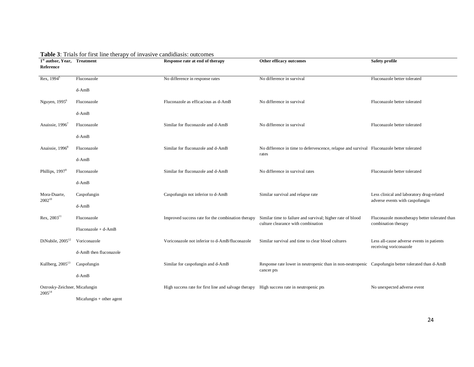| 1st author, Year, Treatment                  |                            | Response rate at end of therapy                                                           | Other efficacy outcomes                                                                                          | Safety profile                                                               |
|----------------------------------------------|----------------------------|-------------------------------------------------------------------------------------------|------------------------------------------------------------------------------------------------------------------|------------------------------------------------------------------------------|
| Reference                                    |                            |                                                                                           |                                                                                                                  |                                                                              |
|                                              |                            |                                                                                           |                                                                                                                  |                                                                              |
| Rex, $\overline{1994^5}$                     | Fluconazole                | No difference in response rates                                                           | No difference in survival                                                                                        | Fluconazole better tolerated                                                 |
|                                              | d-AmB                      |                                                                                           |                                                                                                                  |                                                                              |
| Nguyen, $1995^6$                             | Fluconazole                | Fluconazole as efficacious as d-AmB                                                       | No difference in survival                                                                                        | Fluconazole better tolerated                                                 |
|                                              | d-AmB                      |                                                                                           |                                                                                                                  |                                                                              |
| Anaissie, 1996 <sup>7</sup>                  | Fluconazole                | Similar for fluconazole and d-AmB                                                         | No difference in survival                                                                                        | Fluconazole better tolerated                                                 |
|                                              | d-AmB                      |                                                                                           |                                                                                                                  |                                                                              |
| Anaissie, 1996 <sup>8</sup>                  | Fluconazole                | Similar for fluconazole and d-AmB                                                         | No difference in time to defervescence, relapse and survival Fluconazole better tolerated<br>rates               |                                                                              |
|                                              | d-AmB                      |                                                                                           |                                                                                                                  |                                                                              |
| Phillips, 1997 <sup>9</sup>                  | Fluconazole                | Similar for fluconazole and d-AmB                                                         | No difference in survival rates                                                                                  | Fluconazole better tolerated                                                 |
|                                              | d-AmB                      |                                                                                           |                                                                                                                  |                                                                              |
| Mora-Duarte,<br>$2002^{10}$                  | Caspofungin                | Caspofungin not inferior to d-AmB                                                         | Similar survival and relapse rate                                                                                | Less clinical and laboratory drug-related<br>adverse events with caspofungin |
|                                              | $d$ -Am $B$                |                                                                                           |                                                                                                                  |                                                                              |
| Rex, $2003^{11}$                             | Fluconazole                | Improved success rate for the combination therapy                                         | Similar time to failure and survival; higher rate of blood<br>culture clearance with combination                 | Fluconazole monotherapy better tolerated than<br>combination therapy         |
|                                              | $Fluconazole + d-AmB$      |                                                                                           |                                                                                                                  |                                                                              |
| DiNubile, $2005^{12}$                        | Voriconazole               | Voriconazole not inferior to d-AmB/fluconazole                                            | Similar survival and time to clear blood cultures                                                                | Less all-cause adverse events in patients<br>receiving voriconazole          |
|                                              | d-AmB then fluconazole     |                                                                                           |                                                                                                                  |                                                                              |
| Kullberg, $2005^{13}$                        | Caspofungin                | Similar for caspofungin and d-AmB                                                         | Response rate lower in neutropenic than in non-neutropenic Caspofungin better tolerated than d-AmB<br>cancer pts |                                                                              |
|                                              | d-AmB                      |                                                                                           |                                                                                                                  |                                                                              |
| Ostrosky-Zeichner, Micafungin<br>$2005^{14}$ |                            | High success rate for first line and salvage therapy High success rate in neutropenic pts |                                                                                                                  | No unexpected adverse event                                                  |
|                                              | Micafungin $+$ other agent |                                                                                           |                                                                                                                  |                                                                              |

## **Table 3**: Trials for first line therapy of invasive candidiasis: outcomes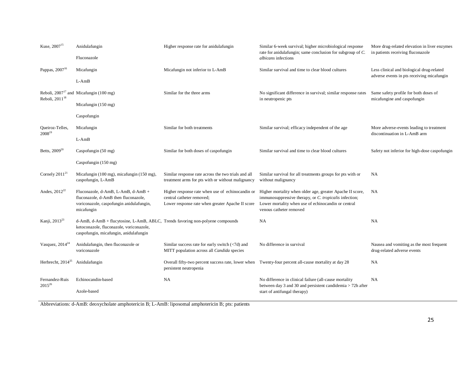| Kuse, 2007 <sup>15</sup>             | Anidulafungin<br>Fluconazole                                                                                                                                         | Higher response rate for anidulafungin                                                                                            | Similar 6-week survival; higher microbiological response<br>rate for anidulation is same conclusion for subgroup of C.<br><i>albicans</i> infections                                                     | More drug-related elevation in liver enzymes<br>in patients receiving fluconazole       |
|--------------------------------------|----------------------------------------------------------------------------------------------------------------------------------------------------------------------|-----------------------------------------------------------------------------------------------------------------------------------|----------------------------------------------------------------------------------------------------------------------------------------------------------------------------------------------------------|-----------------------------------------------------------------------------------------|
| Pappas, 2007 <sup>16</sup>           | Micafungin<br>$L$ -Am $B$                                                                                                                                            | Micafungin not inferior to L-AmB                                                                                                  | Similar survival and time to clear blood cultures                                                                                                                                                        | Less clinical and biological drug-related<br>adverse events in pts receiving micafungin |
| Reboli, 2011 <sup>18</sup>           | Reboli, 2007 <sup>17</sup> and Micafungin (100 mg)<br>Micafungin (150 mg)                                                                                            | Similar for the three arms                                                                                                        | No significant difference in survival; similar response rates<br>in neutropenic pts                                                                                                                      | Same safety profile for both doses of<br>micafungine and caspofungin                    |
|                                      | Caspofungin                                                                                                                                                          |                                                                                                                                   |                                                                                                                                                                                                          |                                                                                         |
| Queiroz-Telles,<br>$2008^{19}$       | Micafungin                                                                                                                                                           | Similar for both treatments                                                                                                       | Similar survival; efficacy independent of the age                                                                                                                                                        | More adverse-events leading to treatment<br>discontinuation in L-AmB arm                |
|                                      | L-AmB                                                                                                                                                                |                                                                                                                                   |                                                                                                                                                                                                          |                                                                                         |
| Betts, 2009 <sup>20</sup>            | Caspofungin (50 mg)                                                                                                                                                  | Similar for both doses of caspofungin                                                                                             | Similar survival and time to clear blood cultures                                                                                                                                                        | Safety not inferior for high-dose caspofungin                                           |
|                                      | Caspofungin (150 mg)                                                                                                                                                 |                                                                                                                                   |                                                                                                                                                                                                          |                                                                                         |
| Cornely $2011^{21}$                  | Micafungin (100 mg), micafungin (150 mg),<br>caspofungin, L-AmB                                                                                                      | Similar response rate across the two trials and all<br>treatment arms for pts with or without malignancy                          | Similar survival for all treatments groups for pts with or<br>without malignancy                                                                                                                         | NA                                                                                      |
| Andes, $2012^{22}$                   | Fluconazole, d-AmB, L-AmB, d-AmB +<br>fluconazole, d-AmB then fluconazole,<br>voriconazole, caspofungin anidulafungin,<br>micafungin                                 | Higher response rate when use of echinocandin or<br>central catheter removed;<br>Lower response rate when greater Apache II score | Higher mortality when older age, greater Apache II score,<br>immunosuppressive therapy, or $C$ . tropicalis infection;<br>Lower mortality when use of echinocandin or central<br>venous catheter removed | <b>NA</b>                                                                               |
| Kanji, 2013 <sup>23</sup>            | d-AmB, d-AmB + flucytosine, L-AmB, ABLC, Trends favoring non-polyene compounds<br>ketoconazole, fluconazole, voriconazole,<br>caspofungin, micafungin, anidulafungin |                                                                                                                                   | <b>NA</b>                                                                                                                                                                                                | NA                                                                                      |
| Vasquez, $2014^{24}$                 | Anidulafungin, then fluconazole or<br>voriconazole                                                                                                                   | Similar success rate for early switch $(< 7d)$ and<br>MITT population across all Candida species                                  | No difference in survival                                                                                                                                                                                | Nausea and vomiting as the most frequent<br>drug-related adverse events                 |
| Herbrecht, $2014^{25}$ Anidulafungin |                                                                                                                                                                      | Overall fifty-two percent success rate, lower when Twenty-four percent all-cause mortality at day 28<br>persistent neutropenia    |                                                                                                                                                                                                          | NA                                                                                      |
| Fernandez-Ruis<br>$2015^{26}$        | Echinocandin-based                                                                                                                                                   | NA                                                                                                                                | No difference in clinical failure (all-cause mortality<br>between day 3 and 30 and persistent candidemia > 72h after                                                                                     | NA                                                                                      |
|                                      | Azole-based                                                                                                                                                          |                                                                                                                                   | start of antifungal therapy)                                                                                                                                                                             |                                                                                         |

Abbreviations: d-AmB: deoxycholate amphotericin B; L-AmB: liposomal amphotericin B; pts: patients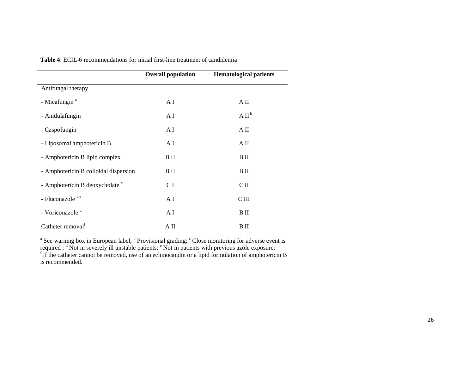|                                       | <b>Overall population</b> | <b>Hematological patients</b> |
|---------------------------------------|---------------------------|-------------------------------|
| Antifungal therapy                    |                           |                               |
| - Micafungin <sup>a</sup>             | A <sub>I</sub>            | A II                          |
| - Anidulafungin                       | A <sub>I</sub>            | A II <sup>b</sup>             |
| - Caspofungin                         | A <sub>I</sub>            | A II                          |
| - Liposomal amphotericin B            | A I                       | ΑII                           |
| - Amphotericin B lipid complex        | B II                      | B II                          |
| - Amphotericin B colloidal dispersion | B II                      | B II                          |
| - Amphotericin B deoxycholate °       | C I                       | C II                          |
| - Fluconazole d,e                     | A <sub>I</sub>            | C III                         |
| - Voriconazole <sup>d</sup>           | A <sub>I</sub>            | B II                          |
| Catheter removal <sup>f</sup>         | AП                        | B II                          |

**Table 4**: ECIL-6 recommendations for initial first-line treatment of candidemia

<sup>a</sup> See warning box in European label; <sup>b</sup> Provisional grading; <sup>c</sup> Close monitoring for adverse event is required; <sup>d</sup> Not in severely ill unstable patients; <sup>e</sup> Not in patients with previous azole exposure;

 $f$  if the catheter cannot be removed, use of an echinocandin or a lipid formulation of amphotericin B is recommended.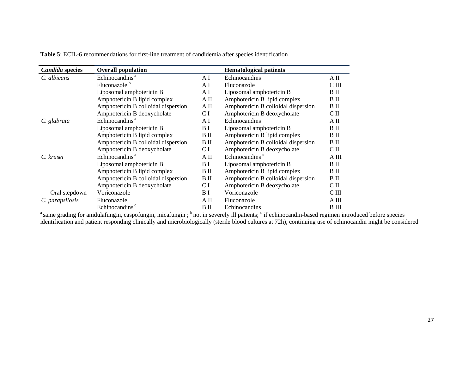| <b>Candida</b> species | <b>Overall population</b>           |                | <b>Hematological patients</b>       |                  |
|------------------------|-------------------------------------|----------------|-------------------------------------|------------------|
| C. albicans            | Echinocandins <sup>a</sup>          | ΑI             | Echinocandins                       | AП               |
|                        | Fluconazole <sup>b</sup>            | A I            | Fluconazole                         | C <sub>III</sub> |
|                        | Liposomal amphotericin B            | A I            | Liposomal amphotericin B            | B II             |
|                        | Amphotericin B lipid complex        | AП             | Amphotericin B lipid complex        | B II             |
|                        | Amphotericin B colloidal dispersion | A II           | Amphotericin B colloidal dispersion | B II             |
|                        | Amphotericin B deoxycholate         | C I            | Amphotericin B deoxycholate         | C <sub>II</sub>  |
| C. glabrata            | Echinocandins <sup>a</sup>          | A <sub>I</sub> | Echinocandins                       | A <sub>H</sub>   |
|                        | Liposomal amphotericin B            | ΒI             | Liposomal amphotericin B            | B II             |
|                        | Amphotericin B lipid complex        | B II           | Amphotericin B lipid complex        | B II             |
|                        | Amphotericin B colloidal dispersion | B II           | Amphotericin B colloidal dispersion | B II             |
|                        | Amphotericin B deoxycholate         | C I            | Amphotericin B deoxycholate         | C <sub>II</sub>  |
| C. krusei              | Echinocandins <sup>a</sup>          | AП             | Echinocandins <sup>a</sup>          | AШ               |
|                        | Liposomal amphotericin B            | ΒI             | Liposomal amphotericin B            | B II             |
|                        | Amphotericin B lipid complex        | B II           | Amphotericin B lipid complex        | B II             |
|                        | Amphotericin B colloidal dispersion | B II           | Amphotericin B colloidal dispersion | B II             |
|                        | Amphotericin B deoxycholate         | C I            | Amphotericin B deoxycholate         | CП               |
| Oral stepdown          | Voriconazole                        | B I            | Voriconazole                        | C III            |
| C. parapsilosis        | Fluconazole                         | A II           | Fluconazole                         | A III            |
|                        | Echinocandins <sup>c</sup>          | B II           | Echinocandins                       | B III            |

**Table 5**: ECIL-6 recommendations for first-line treatment of candidemia after species identification

Echinocandins <sup>c</sup><br>a same grading for anidulafungin, caspofungin, micafungin ; <sup>b</sup> not in severely ill patients; <sup>c</sup> if echinocandin-based regimen introduced before species identification and patient responding clinically and microbiologically (sterile blood cultures at 72h), continuing use of echinocandin might be considered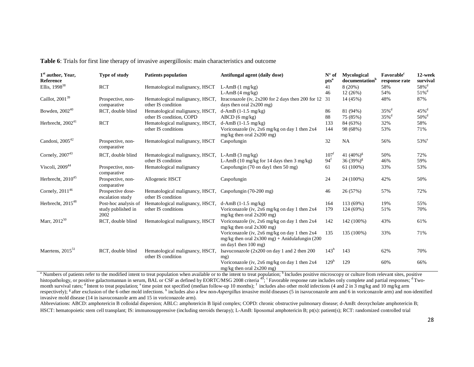| 1 <sup>st</sup> author, Year,<br>Reference | Type of study                                      | <b>Patients population</b>                                  | Antifungal agent (daily dose)<br>$N^{\circ}$ of<br>pts <sup>a</sup>                                                       |                  | Mycological<br>documentation <sup>b</sup> | Favorable <sup>c</sup><br>response rate    | 12-week<br>survival                        |
|--------------------------------------------|----------------------------------------------------|-------------------------------------------------------------|---------------------------------------------------------------------------------------------------------------------------|------------------|-------------------------------------------|--------------------------------------------|--------------------------------------------|
| Ellis, 1998 <sup>38</sup>                  | <b>RCT</b>                                         | Hematological malignancy, HSCT                              | $L$ -AmB $(1 \text{ mg/kg})$<br>L-AmB $(4 \text{ mg/kg})$                                                                 | 41<br>46         | 8(20%)<br>12(26%)                         | 58%<br>54%                                 | 58% <sup>d</sup><br>$51\%$ <sup>d</sup>    |
| Caillot, 2001 <sup>39</sup>                | Prospective, non-<br>comparative                   | Hematological malignancy, HSCT,<br>other IS condition       | Itraconazole (iv, $2x200$ for 2 days then 200 for 12<br>days then oral $2x200$ mg)                                        | 31               | 14 (45%)                                  | 48%                                        | 87%                                        |
| Bowden, 2002 <sup>40</sup>                 | RCT, double blind                                  | Hematological malignancy, HSCT,<br>other IS condition, COPD | d-AmB $(1-1.5 \text{ mg/kg})$<br>ABCD(6 mg/kg)                                                                            | 86<br>88         | 81 (94%)<br>75 (85%)                      | $35\%$ <sup>d</sup><br>$35\%$ <sup>d</sup> | $45\%$ <sup>d</sup><br>$50\%$ <sup>d</sup> |
| Herbrecht, 2002 <sup>41</sup>              | <b>RCT</b>                                         | Hematological malignancy, HSCT,<br>other IS conditions      | d-AmB $(1-1.5 \text{ mg/kg})$<br>Voriconazole (iv, $2x6$ mg/kg on day 1 then $2x4$                                        | 133<br>144       | 84 (63%)<br>98 (68%)                      | 32%<br>53%                                 | 58%<br>71%                                 |
| Candoni, 2005 <sup>42</sup>                | Prospective, non-<br>comparative                   | Hematological malignancy, HSCT                              | mg/kg then oral $2x200$ mg)<br>Caspofungin                                                                                | 32               | <b>NA</b>                                 | 56%                                        | $53\%$ <sup>e</sup>                        |
| Cornely, $2007^{43}$                       | RCT, double blind                                  | Hematological malignancy, HSCT,<br>other IS condition       | L-AmB $(3 \text{ mg/kg})$<br>94 <sup>f</sup><br>L-AmB (10 mg/kg for 14 days then 3 mg/kg)                                 |                  | 41 $(40\%)^g$<br>$36(39%)^g$              | 50%<br>46%                                 | 72%<br>59%                                 |
| Viscoli, $2009^{44}$                       | Prospective, non-<br>comparative                   | Hematological malignancy                                    | Caspofungin $(70 \text{ on day1}$ then $50 \text{ mg})$                                                                   |                  | $61(100\%)$                               | 33%                                        | 53%                                        |
| Herbrecht, 2010 <sup>45</sup>              | Prospective, non-<br>comparative                   | Allogeneic HSCT                                             | Caspofungin                                                                                                               |                  | 24 (100%)                                 | 42%                                        | 50%                                        |
| Cornely, $2011^{46}$                       | Prospective dose-<br>escalation study              | Hematological malignancy, HSCT,<br>other IS condition       | Caspofungin $(70-200 \text{ mg})$                                                                                         |                  | 26 (57%)                                  | 57%                                        | 72%                                        |
| Herbrecht, 2015 <sup>48</sup>              | Post-hoc analysis of<br>study published in<br>2002 | Hematological malignancy, HSCT,<br>other IS conditions      | d-AmB $(1-1.5 \text{ mg/kg})$<br>Voriconazole (iv, $2x6$ mg/kg on day 1 then $2x4$<br>179<br>mg/kg then oral $2x200$ mg)  |                  | 113 (69%)<br>124 (69%)                    | 19%<br>51%                                 | 55%<br>70%                                 |
| Marr, 2012 <sup>50</sup>                   | RCT, double blind                                  | Hematological malignancy, HSCT                              | Voriconazole (iv, 2x6 mg/kg on day 1 then 2x4<br>mg/kg then oral $2x300$ mg)                                              | 142              | 142 (100%)                                | 43%                                        | 61%                                        |
|                                            |                                                    |                                                             | Voriconazole (iv, 2x6 mg/kg on day 1 then 2x4<br>mg/kg then oral $2x300$ mg) + Anidulafungin (200<br>on day1 then 100 mg) | 135              | 135 (100%)                                | 33%                                        | 71%                                        |
| Maertens, $2015^{51}$                      | RCT, double blind                                  | Hematological malignancy, HSCT,<br>other IS condition       | Isavuconazole $(2x200 \text{ on day 1 and 2 then } 200$<br>mg)                                                            | $143^h$          | 143                                       | 62%                                        | 70%                                        |
|                                            |                                                    |                                                             | Voriconazole (iv, 2x6 mg/kg on day 1 then 2x4<br>mg/kg then oral $2x200$ mg)                                              | 129 <sup>h</sup> | 129                                       | 60%                                        | 66%                                        |

**Table 6**: Trials for first line therapy of invasive aspergillosis: main characteristics and outcome

<sup>a</sup> Numbers of patients refer to the modified intent to treat population when available or to the intent to treat population; <sup>b</sup> Includes positive microscopy or culture from relevant sites, positive histopathology, or positive galactomannan in serum, BAL or CSF as defined by EORTC/MSG 2008 criteria <sup>49</sup>; <sup>c</sup> Favorable response rate includes only complete and partial responses; <sup>d</sup> Twomonth survival rates; <sup>d</sup> Intent to treat population; <sup>e</sup> time point not specified (median follow-up 10 months); <sup>f</sup> includes also other mold infections (4 and 2 in 3 mg/kg and 10 mg/kg arm respectively); <sup>g</sup> after exclusion of the 6 other mold infections. h includes also a few non-*Aspergillus* invasive mold diseases (5 in isavuconazole arm and 6 in voriconazole arm) and non-identified invasive mold disease (14 in isavuconazole arm and 15 in voriconazole arm).

Abbreviations: ABCD: amphotericin B colloidal dispersion; ABLC: amphotericin B lipid complex; COPD: chronic obstructive pulmonary disease; d-AmB: deoxycholate amphotericin B; HSCT: hematopoietic stem cell transplant; IS: immunosuppressive (including steroids therapy); L-AmB: liposomal amphotericin B; pt(s): patient(s); RCT: randomized controlled trial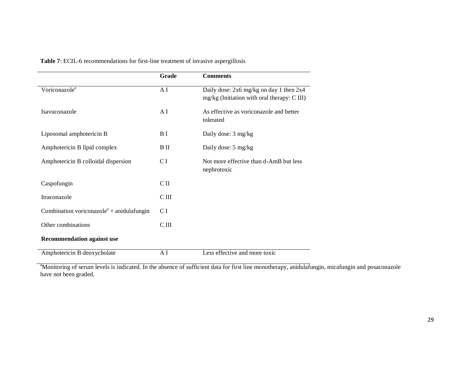|                                                                    | Grade            | <b>Comments</b>                                                                            |
|--------------------------------------------------------------------|------------------|--------------------------------------------------------------------------------------------|
| Voriconazole <sup>a</sup>                                          | A I              | Daily dose: $2x6$ mg/kg on day 1 then $2x4$<br>mg/kg (Initiation with oral therapy: C III) |
| Isavuconazole                                                      | A I              | As effective as voriconazole and better<br>tolerated                                       |
| Liposomal amphotericin B                                           | B I              | Daily dose: 3 mg/kg                                                                        |
| Amphotericin B lipid complex                                       | B II             | Daily dose: 5 mg/kg                                                                        |
| Amphotericin B colloidal dispersion                                | CI               | Not more effective than d-AmB but less<br>nephrotoxic                                      |
| Caspofungin                                                        | C II             |                                                                                            |
| Itraconazole                                                       | C <sub>III</sub> |                                                                                            |
| Combination voriconazole <sup><math>a</math></sup> + anidulafungin | C I              |                                                                                            |
| Other combinations                                                 | C III            |                                                                                            |
| <b>Recommendation against use</b>                                  |                  |                                                                                            |
| Amphotericin B deoxycholate                                        | A <sub>I</sub>   | Less effective and more toxic                                                              |

**Table 7**: ECIL-6 recommendations for first-line treatment of invasive aspergillosis

<sup>a</sup>Monitoring of serum levels is indicated. In the absence of sufficient data for first line monotherapy, anidulafungin, micafungin and posaconazole have not been graded.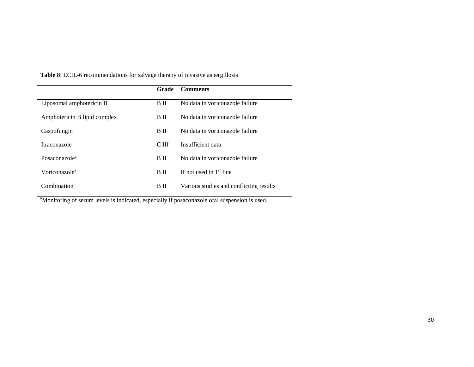|                              | Grade | <b>Comments</b>                         |
|------------------------------|-------|-----------------------------------------|
| Liposomal amphotericin B     | B II  | No data in voriconazole failure         |
| Amphotericin B lipid complex | B II  | No data in voriconazole failure         |
| Caspofungin                  | B II  | No data in voriconazole failure         |
| Itraconazole                 | C III | Insufficient data                       |
| Posaconazole <sup>a</sup>    | B II  | No data in voriconazole failure         |
| Voriconazole <sup>a</sup>    | B II  | If not used in $1st$ line               |
| Combination                  | B II  | Various studies and conflicting results |

**Table 8**: ECIL-6 recommendations for salvage therapy of invasive aspergillosis

<sup>a</sup>Monitoring of serum levels is indicated, especially if posaconazole oral suspension is used.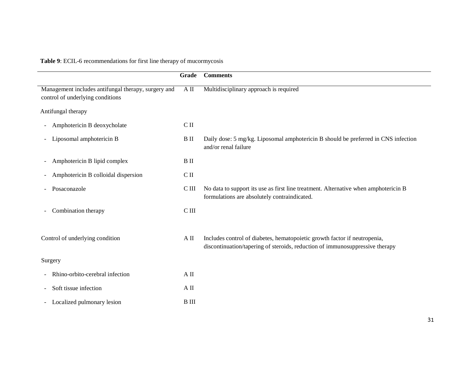**Table 9**: ECIL-6 recommendations for first line therapy of mucormycosis

|                                                                                         | Grade                       | <b>Comments</b>                                                                                                                                           |
|-----------------------------------------------------------------------------------------|-----------------------------|-----------------------------------------------------------------------------------------------------------------------------------------------------------|
| Management includes antifungal therapy, surgery and<br>control of underlying conditions | $\mathbf{A} \; \mathbf{II}$ | Multidisciplinary approach is required                                                                                                                    |
| Antifungal therapy                                                                      |                             |                                                                                                                                                           |
| Amphotericin B deoxycholate                                                             | C <sub>II</sub>             |                                                                                                                                                           |
| Liposomal amphotericin B                                                                | <b>B</b> II                 | Daily dose: 5 mg/kg. Liposomal amphotericin B should be preferred in CNS infection<br>and/or renal failure                                                |
| Amphotericin B lipid complex                                                            | <b>BII</b>                  |                                                                                                                                                           |
| Amphotericin B colloidal dispersion                                                     | C <sub>II</sub>             |                                                                                                                                                           |
| Posaconazole                                                                            | C <sub>III</sub>            | No data to support its use as first line treatment. Alternative when amphotericin B<br>formulations are absolutely contraindicated.                       |
| Combination therapy                                                                     | $C$ III                     |                                                                                                                                                           |
| Control of underlying condition                                                         | $A$ II                      | Includes control of diabetes, hematopoietic growth factor if neutropenia,<br>discontinuation/tapering of steroids, reduction of immunosuppressive therapy |
| Surgery                                                                                 |                             |                                                                                                                                                           |
| Rhino-orbito-cerebral infection                                                         | $A$ II                      |                                                                                                                                                           |
| Soft tissue infection                                                                   | A II                        |                                                                                                                                                           |
| Localized pulmonary lesion                                                              | <b>B</b> III                |                                                                                                                                                           |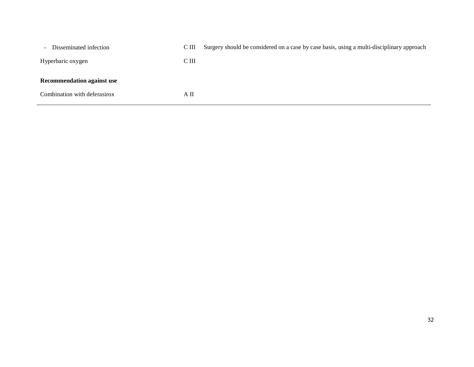| Disseminated infection<br>$\sim$ $-$ | C III | Surgery should be considered on a case by case basis, using a multi-disciplinary approach |
|--------------------------------------|-------|-------------------------------------------------------------------------------------------|
| Hyperbaric oxygen                    | C III |                                                                                           |
| <b>Recommendation against use</b>    |       |                                                                                           |
| Combination with deferasirox         | ΑII   |                                                                                           |